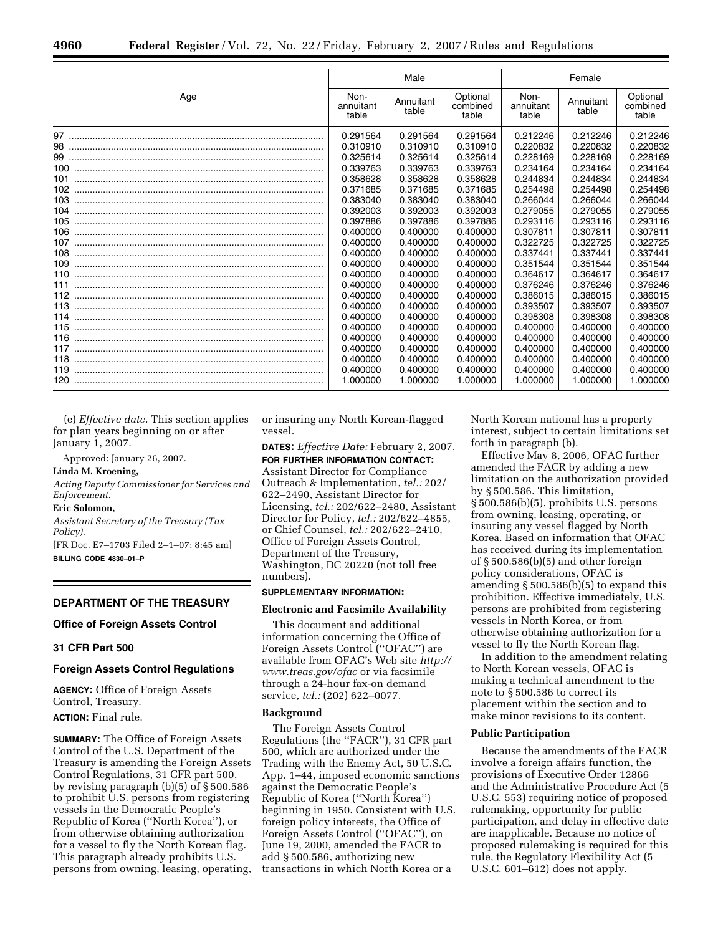|     | Male                       |                    |                               | Female                     |                    |                               |
|-----|----------------------------|--------------------|-------------------------------|----------------------------|--------------------|-------------------------------|
| Age | Non-<br>annuitant<br>table | Annuitant<br>table | Optional<br>combined<br>table | Non-<br>annuitant<br>table | Annuitant<br>table | Optional<br>combined<br>table |
|     | 0.291564                   | 0.291564           | 0.291564                      | 0.212246                   | 0.212246           | 0.212246                      |
|     | 0.310910                   | 0.310910           | 0.310910                      | 0.220832                   | 0.220832           | 0.220832                      |
|     | 0.325614                   | 0.325614           | 0.325614                      | 0.228169                   | 0.228169           | 0.228169                      |
|     | 0.339763                   | 0.339763           | 0.339763                      | 0.234164                   | 0.234164           | 0.234164                      |
| 101 | 0.358628                   | 0.358628           | 0.358628                      | 0.244834                   | 0.244834           | 0.244834                      |
|     | 0.371685                   | 0.371685           | 0.371685                      | 0.254498                   | 0.254498           | 0.254498                      |
| 103 | 0.383040                   | 0.383040           | 0.383040                      | 0.266044                   | 0.266044           | 0.266044                      |
| 104 | 0.392003                   | 0.392003           | 0.392003                      | 0.279055                   | 0.279055           | 0.279055                      |
| 105 | 0.397886                   | 0.397886           | 0.397886                      | 0.293116                   | 0.293116           | 0.293116                      |
| 106 | 0.400000                   | 0.400000           | 0.400000                      | 0.307811                   | 0.307811           | 0.307811                      |
| 107 | 0.400000                   | 0.400000           | 0.400000                      | 0.322725                   | 0.322725           | 0.322725                      |
| 108 | 0.400000                   | 0.400000           | 0.400000                      | 0.337441                   | 0.337441           | 0.337441                      |
|     | 0.400000                   | 0.400000           | 0.400000                      | 0.351544                   | 0.351544           | 0.351544                      |
|     | 0.400000                   | 0.400000           | 0.400000                      | 0.364617                   | 0.364617           | 0.364617                      |
|     | 0.400000                   | 0.400000           | 0.400000                      | 0.376246                   | 0.376246           | 0.376246                      |
|     | 0.400000                   | 0.400000           | 0.400000                      | 0.386015                   | 0.386015           | 0.386015                      |
|     | 0.400000                   | 0.400000           | 0.400000                      | 0.393507                   | 0.393507           | 0.393507                      |
|     | 0.400000                   | 0.400000           | 0.400000                      | 0.398308                   | 0.398308           | 0.398308                      |
|     | 0.400000                   | 0.400000           | 0.400000                      | 0.400000                   | 0.400000           | 0.400000                      |
|     | 0.400000                   | 0.400000           | 0.400000                      | 0.400000                   | 0.400000           | 0.400000                      |
| 117 | 0.400000                   | 0.400000           | 0.400000                      | 0.400000                   | 0.400000           | 0.400000                      |
|     | 0.400000                   | 0.400000           | 0.400000                      | 0.400000                   | 0.400000           | 0.400000                      |
|     | 0.400000                   | 0.400000           | 0.400000                      | 0.400000                   | 0.400000           | 0.400000                      |
|     | 1.000000                   | 1.000000           | 1.000000                      | 1.000000                   | 1.000000           | 1.000000                      |

(e) *Effective date.* This section applies for plan years beginning on or after January 1, 2007.

Approved: January 26, 2007. **Linda M. Kroening,** 

# *Acting Deputy Commissioner for Services and*

*Enforcement.* 

## **Eric Solomon,**

*Assistant Secretary of the Treasury (Tax Policy).* 

[FR Doc. E7–1703 Filed 2–1–07; 8:45 am] **BILLING CODE 4830–01–P** 

### **DEPARTMENT OF THE TREASURY**

### **Office of Foreign Assets Control**

### **31 CFR Part 500**

#### **Foreign Assets Control Regulations**

**AGENCY:** Office of Foreign Assets Control, Treasury.

# **ACTION:** Final rule.

**SUMMARY:** The Office of Foreign Assets Control of the U.S. Department of the Treasury is amending the Foreign Assets Control Regulations, 31 CFR part 500, by revising paragraph (b)(5) of § 500.586 to prohibit U.S. persons from registering vessels in the Democratic People's Republic of Korea (''North Korea''), or from otherwise obtaining authorization for a vessel to fly the North Korean flag. This paragraph already prohibits U.S. persons from owning, leasing, operating,

or insuring any North Korean-flagged vessel.

**DATES:** *Effective Date:* February 2, 2007. **FOR FURTHER INFORMATION CONTACT:**  Assistant Director for Compliance Outreach & Implementation, *tel.:* 202/ 622–2490, Assistant Director for Licensing, *tel.:* 202/622–2480, Assistant Director for Policy, *tel.:* 202/622–4855, or Chief Counsel, *tel.:* 202/622–2410, Office of Foreign Assets Control, Department of the Treasury, Washington, DC 20220 (not toll free numbers).

#### **SUPPLEMENTARY INFORMATION:**

#### **Electronic and Facsimile Availability**

This document and additional information concerning the Office of Foreign Assets Control (''OFAC'') are available from OFAC's Web site *http:// www.treas.gov/ofac* or via facsimile through a 24-hour fax-on demand service, *tel.:* (202) 622–0077.

#### **Background**

The Foreign Assets Control Regulations (the ''FACR''), 31 CFR part 500, which are authorized under the Trading with the Enemy Act, 50 U.S.C. App. 1–44, imposed economic sanctions against the Democratic People's Republic of Korea (''North Korea'') beginning in 1950. Consistent with U.S. foreign policy interests, the Office of Foreign Assets Control (''OFAC''), on June 19, 2000, amended the FACR to add § 500.586, authorizing new transactions in which North Korea or a

North Korean national has a property interest, subject to certain limitations set forth in paragraph (b).

Effective May 8, 2006, OFAC further amended the FACR by adding a new limitation on the authorization provided by § 500.586. This limitation, § 500.586(b)(5), prohibits U.S. persons from owning, leasing, operating, or insuring any vessel flagged by North Korea. Based on information that OFAC has received during its implementation of § 500.586(b)(5) and other foreign policy considerations, OFAC is amending § 500.586(b)(5) to expand this prohibition. Effective immediately, U.S. persons are prohibited from registering vessels in North Korea, or from otherwise obtaining authorization for a vessel to fly the North Korean flag.

In addition to the amendment relating to North Korean vessels, OFAC is making a technical amendment to the note to § 500.586 to correct its placement within the section and to make minor revisions to its content.

#### **Public Participation**

Because the amendments of the FACR involve a foreign affairs function, the provisions of Executive Order 12866 and the Administrative Procedure Act (5 U.S.C. 553) requiring notice of proposed rulemaking, opportunity for public participation, and delay in effective date are inapplicable. Because no notice of proposed rulemaking is required for this rule, the Regulatory Flexibility Act (5 U.S.C. 601–612) does not apply.